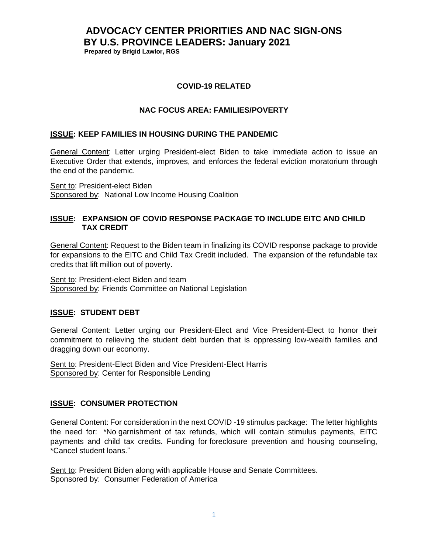# **ADVOCACY CENTER PRIORITIES AND NAC SIGN-ONS BY U.S. PROVINCE LEADERS: January 2021**

 **Prepared by Brigid Lawlor, RGS**

#### **COVID-19 RELATED**

### **NAC FOCUS AREA: FAMILIES/POVERTY**

#### **ISSUE: KEEP FAMILIES IN HOUSING DURING THE PANDEMIC**

General Content: Letter urging President-elect Biden to take immediate action to issue an Executive Order that extends, improves, and enforces the federal eviction moratorium through the end of the pandemic.

Sent to: President-elect Biden Sponsored by: National Low Income Housing Coalition

#### **ISSUE: EXPANSION OF COVID RESPONSE PACKAGE TO INCLUDE EITC AND CHILD TAX CREDIT**

General Content: Request to the Biden team in finalizing its COVID response package to provide for expansions to the EITC and Child Tax Credit included. The expansion of the refundable tax credits that lift million out of poverty.

Sent to: President-elect Biden and team Sponsored by: Friends Committee on National Legislation

#### **ISSUE: STUDENT DEBT**

General Content: Letter urging our President-Elect and Vice President-Elect to honor their commitment to relieving the student debt burden that is oppressing low-wealth families and dragging down our economy.

Sent to: President-Elect Biden and Vice President-Elect Harris Sponsored by: Center for Responsible Lending

#### **ISSUE: CONSUMER PROTECTION**

General Content: For consideration in the next COVID -19 stimulus package: The letter highlights the need for: \*No garnishment of tax refunds, which will contain stimulus payments, EITC payments and child tax credits. Funding for foreclosure prevention and housing counseling, \*Cancel student loans."

Sent to: President Biden along with applicable House and Senate Committees. Sponsored by: Consumer Federation of America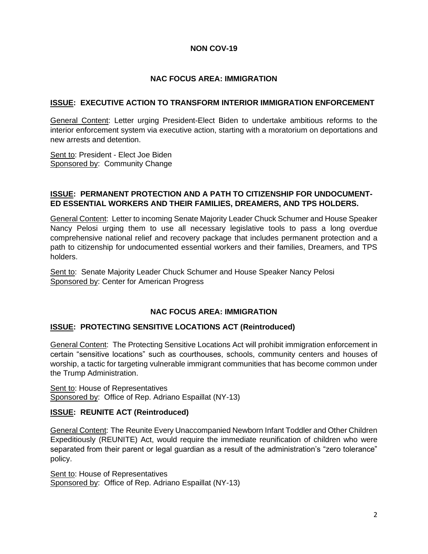### **NON COV-19**

### **NAC FOCUS AREA: IMMIGRATION**

### **ISSUE: EXECUTIVE ACTION TO TRANSFORM INTERIOR IMMIGRATION ENFORCEMENT**

General Content: Letter urging President-Elect Biden to undertake ambitious reforms to the interior enforcement system via executive action, starting with a moratorium on deportations and new arrests and detention.

Sent to: President - Elect Joe Biden Sponsored by: Community Change

### **ISSUE: PERMANENT PROTECTION AND A PATH TO CITIZENSHIP FOR UNDOCUMENT-ED ESSENTIAL WORKERS AND THEIR FAMILIES, DREAMERS, AND TPS HOLDERS.**

General Content: Letter to incoming Senate Majority Leader Chuck Schumer and House Speaker Nancy Pelosi urging them to use all necessary legislative tools to pass a long overdue comprehensive national relief and recovery package that includes permanent protection and a path to citizenship for undocumented essential workers and their families, Dreamers, and TPS holders.

Sent to: Senate Majority Leader Chuck Schumer and House Speaker Nancy Pelosi Sponsored by: Center for American Progress

### **NAC FOCUS AREA: IMMIGRATION**

### **ISSUE: PROTECTING SENSITIVE LOCATIONS ACT (Reintroduced)**

General Content: The [Protecting Sensitive Locations Act](https://espaillat.house.gov/sites/espaillat.house.gov/files/Protecting%20Sensitive%20Locations%20Act%20116th.pdf) will prohibit immigration enforcement in certain "sensitive locations" such as courthouses, schools, community centers and houses of worship, a tactic for targeting vulnerable immigrant communities that has become common under the Trump Administration.

Sent to: House of Representatives Sponsored by: Office of Rep. Adriano Espaillat (NY-13)

### **ISSUE: REUNITE ACT (Reintroduced)**

General Content: The [Reunite Every Unaccompanied Newborn Infant Toddler and Other Children](https://espaillat.house.gov/sites/espaillat.house.gov/files/REUNITE%20Act%20116th.pdf)  [Expeditiously \(REUNITE\) Act,](https://espaillat.house.gov/sites/espaillat.house.gov/files/REUNITE%20Act%20116th.pdf) would require the immediate reunification of children who were separated from their parent or legal guardian as a result of the administration's "zero tolerance" policy.

Sent to: House of Representatives Sponsored by: Office of Rep. Adriano Espaillat (NY-13)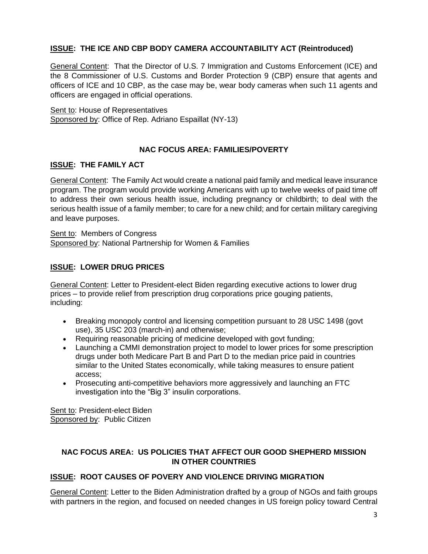# **ISSUE: THE ICE AND CBP BODY CAMERA ACCOUNTABILITY ACT (Reintroduced)**

General Content: That the Director of U.S. 7 Immigration and Customs Enforcement (ICE) and the 8 Commissioner of U.S. Customs and Border Protection 9 (CBP) ensure that agents and officers of ICE and 10 CBP, as the case may be, wear body cameras when such 11 agents and officers are engaged in official operations.

Sent to: House of Representatives Sponsored by: Office of Rep. Adriano Espaillat (NY-13)

# **NAC FOCUS AREA: FAMILIES/POVERTY**

### **ISSUE: THE FAMILY ACT**

General Content: The Family Act would create a national paid family and medical leave insurance program. The program would provide working Americans with up to twelve weeks of paid time off to address their own serious health issue, including pregnancy or childbirth; to deal with the serious health issue of a family member; to care for a new child; and for certain military caregiving and leave purposes.

Sent to: Members of Congress Sponsored by: National Partnership for Women & Families

# **ISSUE: LOWER DRUG PRICES**

General Content: Letter to President-elect Biden regarding executive actions to lower drug prices – to provide relief from prescription drug corporations price gouging patients, including:

- Breaking monopoly control and licensing competition pursuant to 28 USC 1498 (govt use), 35 USC 203 (march-in) and otherwise;
- Requiring reasonable pricing of medicine developed with govt funding;
- Launching a CMMI demonstration project to model to lower prices for some prescription drugs under both Medicare Part B and Part D to the median price paid in countries similar to the United States economically, while taking measures to ensure patient access;
- Prosecuting anti-competitive behaviors more aggressively and launching an FTC investigation into the "Big 3" insulin corporations.

Sent to: President-elect Biden Sponsored by: Public Citizen

# **NAC FOCUS AREA: US POLICIES THAT AFFECT OUR GOOD SHEPHERD MISSION IN OTHER COUNTRIES**

# **ISSUE: ROOT CAUSES OF POVERY AND VIOLENCE DRIVING MIGRATION**

General Content: Letter to the Biden Administration drafted by a group of NGOs and faith groups with partners in the region, and focused on needed changes in US foreign policy toward Central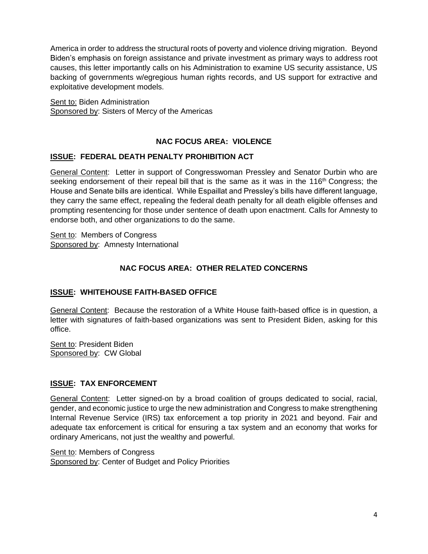America in order to address the structural roots of poverty and violence driving migration. Beyond Biden's emphasis on foreign assistance and private investment as primary ways to address root causes, this letter importantly calls on his Administration to examine US security assistance, US backing of governments w/egregious human rights records, and US support for extractive and exploitative development models.

Sent to: Biden Administration Sponsored by: Sisters of Mercy of the Americas

### **NAC FOCUS AREA: VIOLENCE**

### **ISSUE: FEDERAL DEATH PENALTY PROHIBITION ACT**

General Content: Letter in support of Congresswoman Pressley and Senator Durbin who are seeking endorsement of their repeal [bill](https://link.edgepilot.com/s/8f3f635e/SFFJyWXAiEa0WRIRzIFSkw?u=https://www.congress.gov/bill/116th-congress/house-bill/4052/text?q=%257B%2522search%2522%253A%255B%2522hr4052%2522%255D%257D%26r=1%26s=1) that is the same as it was in the  $116<sup>th</sup>$  Congress; the House and Senate bills are identical. While Espaillat and Pressley's bills have different language, they carry the same effect, repealing the federal death penalty for all death eligible offenses and prompting resentencing for those under sentence of death upon enactment. Calls for Amnesty to endorse both, and other organizations to do the same.

Sent to: Members of Congress Sponsored by: Amnesty International

### **NAC FOCUS AREA: OTHER RELATED CONCERNS**

# **ISSUE: WHITEHOUSE FAITH-BASED OFFICE**

General Content: Because the restoration of a White House faith-based office is in question, a letter with signatures of faith-based organizations was sent to President Biden, asking for this office.

Sent to: President Biden Sponsored by: CW Global

### **ISSUE: TAX ENFORCEMENT**

General Content: Letter signed-on by a broad coalition of groups dedicated to social, racial, gender, and economic justice to urge the new administration and Congress to make strengthening Internal Revenue Service (IRS) tax enforcement a top priority in 2021 and beyond. Fair and adequate tax enforcement is critical for ensuring a tax system and an economy that works for ordinary Americans, not just the wealthy and powerful.

Sent to: Members of Congress Sponsored by: Center of Budget and Policy Priorities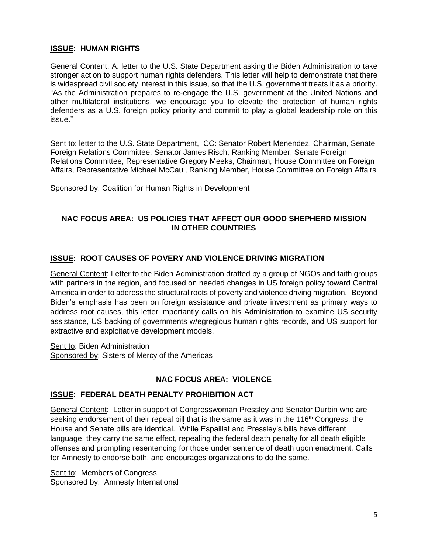### **ISSUE: HUMAN RIGHTS**

General Content: A. [letter to the U.S. State Department](https://docs.google.com/document/d/1eOJM1Ml-Hn1RNNeZnUu_Pc7EKHdRLQDcUosJqj3VICE/edit?usp=sharing) asking the Biden Administration to take stronger action to support human rights defenders. This letter will help to demonstrate that there is widespread civil society interest in this issue, so that the U.S. government treats it as a priority. "As the Administration prepares to re-engage the U.S. government at the United Nations and other multilateral institutions, we encourage you to elevate the protection of human rights defenders as a U.S. foreign policy priority and commit to play a global leadership role on this issue."

Sent to: [letter to the U.S. State Department,](https://docs.google.com/document/d/1eOJM1Ml-Hn1RNNeZnUu_Pc7EKHdRLQDcUosJqj3VICE/edit?usp=sharing) CC: Senator Robert Menendez, Chairman, Senate Foreign Relations Committee, Senator James Risch, Ranking Member, Senate Foreign Relations Committee, Representative Gregory Meeks, Chairman, House Committee on Foreign Affairs, Representative Michael McCaul, Ranking Member, House Committee on Foreign Affairs

Sponsored by: Coalition for Human Rights in Development

### **NAC FOCUS AREA: US POLICIES THAT AFFECT OUR GOOD SHEPHERD MISSION IN OTHER COUNTRIES**

### **ISSUE: ROOT CAUSES OF POVERY AND VIOLENCE DRIVING MIGRATION**

General Content: Letter to the Biden Administration drafted by a group of NGOs and faith groups with partners in the region, and focused on needed changes in US foreign policy toward Central America in order to address the structural roots of poverty and violence driving migration. Beyond Biden's emphasis has been on foreign assistance and private investment as primary ways to address root causes, this letter importantly calls on his Administration to examine US security assistance, US backing of governments w/egregious human rights records, and US support for extractive and exploitative development models.

Sent to: Biden Administration Sponsored by: Sisters of Mercy of the Americas

### **NAC FOCUS AREA: VIOLENCE**

### **ISSUE: FEDERAL DEATH PENALTY PROHIBITION ACT**

General Content: Letter in support of Congresswoman Pressley and Senator Durbin who are seeking endorsement of their repeal [bill](https://link.edgepilot.com/s/8f3f635e/SFFJyWXAiEa0WRIRzIFSkw?u=https://www.congress.gov/bill/116th-congress/house-bill/4052/text?q=%257B%2522search%2522%253A%255B%2522hr4052%2522%255D%257D%26r=1%26s=1) that is the same as it was in the 116<sup>th</sup> Congress, the House and Senate bills are identical. While Espaillat and Pressley's bills have different language, they carry the same effect, repealing the federal death penalty for all death eligible offenses and prompting resentencing for those under sentence of death upon enactment. Calls for Amnesty to endorse both, and encourages organizations to do the same.

Sent to: Members of Congress Sponsored by: Amnesty International